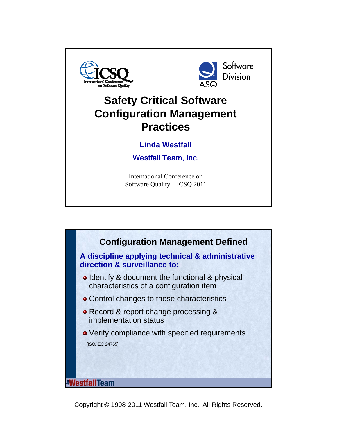



## **Safety Critical Software Configuration Management Practices**

## **Linda Westfall**

Westfall Team, Inc.

International Conference on Software Quality – ICSQ 2011

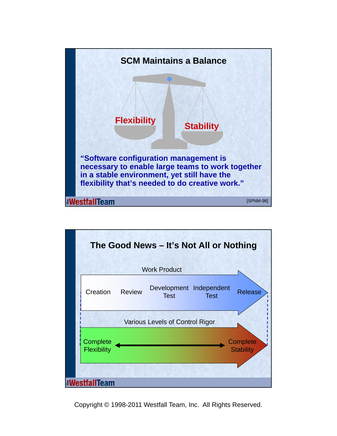

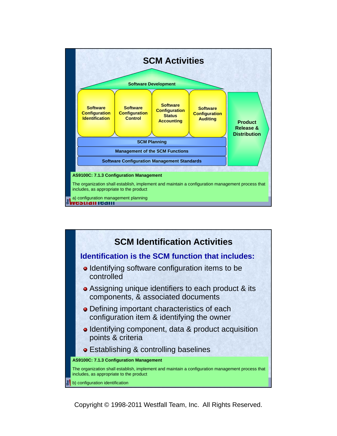

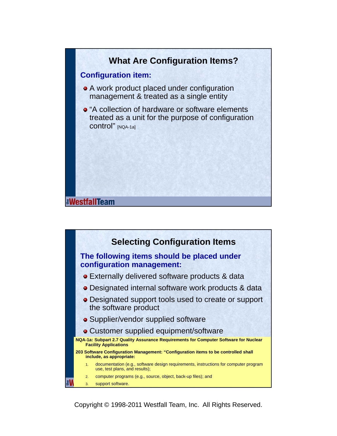

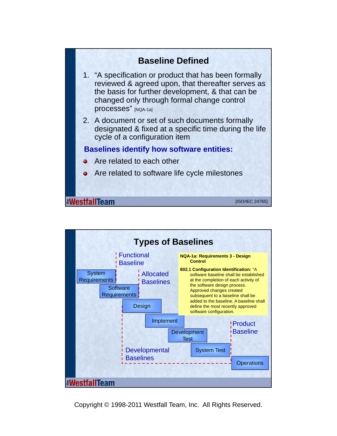

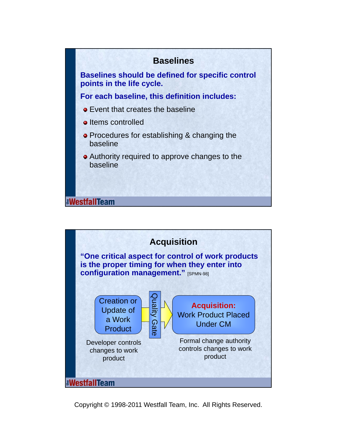

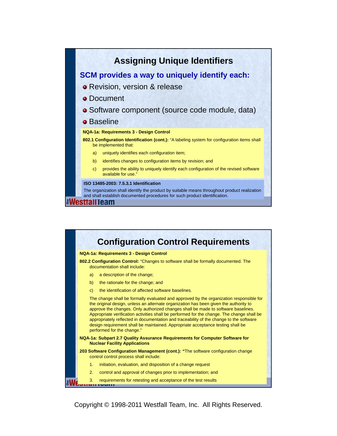

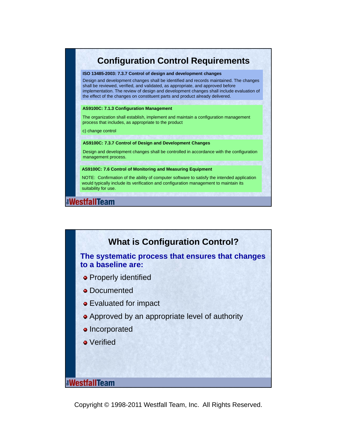

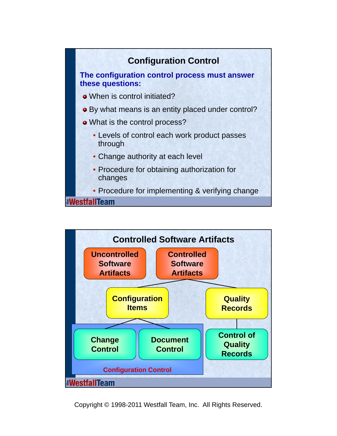

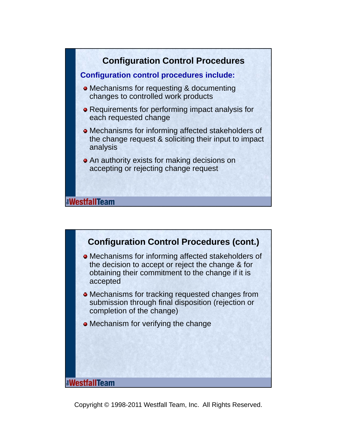

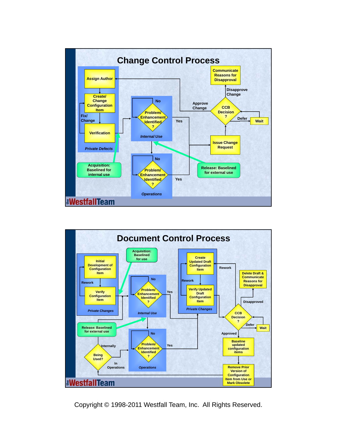

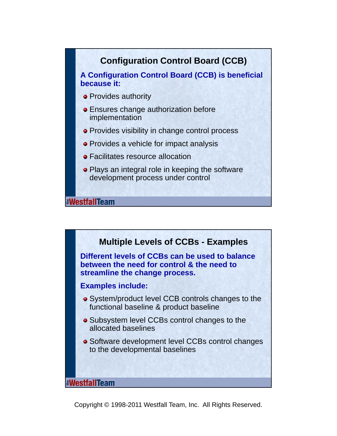

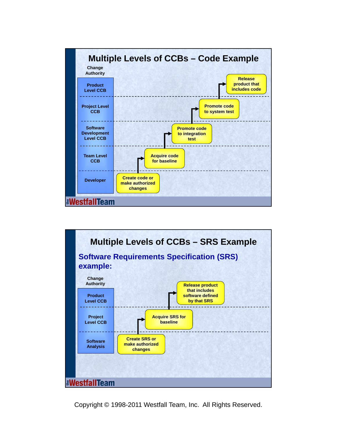

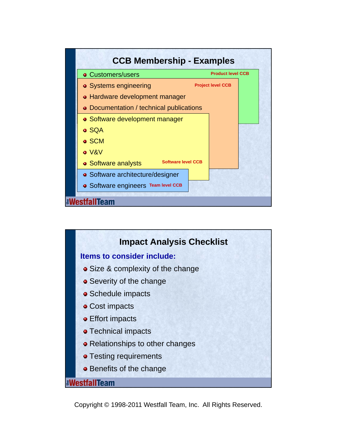

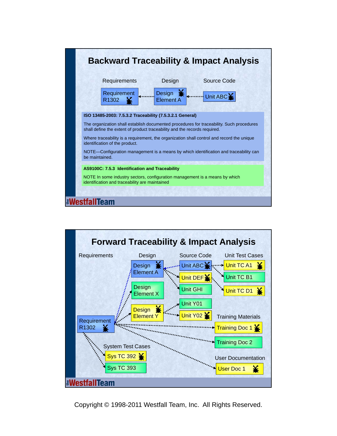

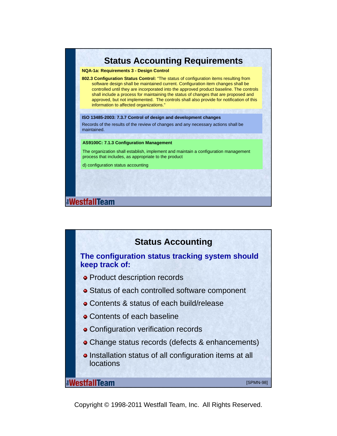

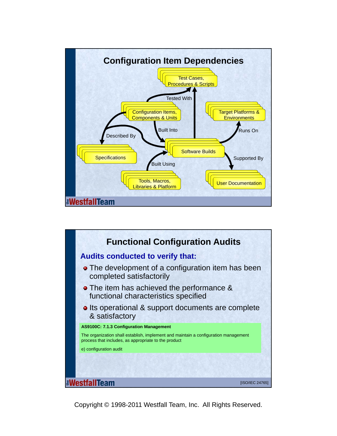

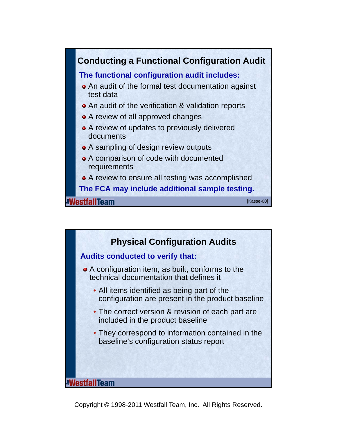

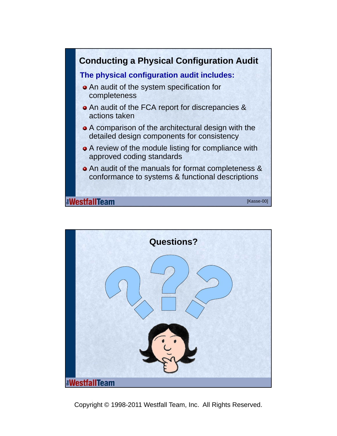